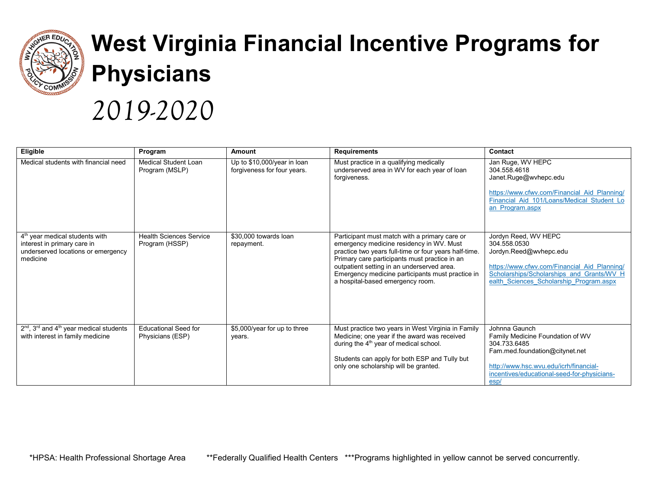

## **West Virginia Financial Incentive Programs for Physicians**

## *2019-2020*

| Eligible                                                                                                                    | Program                                          | Amount                                                     | <b>Requirements</b>                                                                                                                                                                                                                                                                                                                       | Contact                                                                                                                                                                                                |
|-----------------------------------------------------------------------------------------------------------------------------|--------------------------------------------------|------------------------------------------------------------|-------------------------------------------------------------------------------------------------------------------------------------------------------------------------------------------------------------------------------------------------------------------------------------------------------------------------------------------|--------------------------------------------------------------------------------------------------------------------------------------------------------------------------------------------------------|
| Medical students with financial need                                                                                        | Medical Student Loan<br>Program (MSLP)           | Up to \$10,000/year in loan<br>forgiveness for four years. | Must practice in a qualifying medically<br>underserved area in WV for each year of loan<br>forgiveness.                                                                                                                                                                                                                                   | Jan Ruge, WV HEPC<br>304.558.4618<br>Janet.Ruge@wvhepc.edu<br>https://www.cfwv.com/Financial Aid Planning/<br>Financial Aid 101/Loans/Medical Student Lo<br>an Program.aspx                            |
| 4 <sup>th</sup> year medical students with<br>interest in primary care in<br>underserved locations or emergency<br>medicine | <b>Health Sciences Service</b><br>Program (HSSP) | \$30,000 towards loan<br>repayment.                        | Participant must match with a primary care or<br>emergency medicine residency in WV. Must<br>practice two years full-time or four years half-time.<br>Primary care participants must practice in an<br>outpatient setting in an underserved area.<br>Emergency medicine participants must practice in<br>a hospital-based emergency room. | Jordyn Reed, WV HEPC<br>304.558.0530<br>Jordyn.Reed@wvhepc.edu<br>https://www.cfwv.com/Financial Aid Planning/<br>Scholarships/Scholarships and Grants/WV H<br>ealth Sciences Scholarship Program.aspx |
| $2nd$ , 3 <sup>rd</sup> and 4 <sup>th</sup> year medical students<br>with interest in family medicine                       | <b>Educational Seed for</b><br>Physicians (ESP)  | \$5,000/year for up to three<br>years.                     | Must practice two years in West Virginia in Family<br>Medicine; one year if the award was received<br>during the 4 <sup>th</sup> year of medical school.<br>Students can apply for both ESP and Tully but<br>only one scholarship will be granted.                                                                                        | Johnna Gaunch<br>Family Medicine Foundation of WV<br>304.733.6485<br>Fam.med.foundation@citynet.net<br>http://www.hsc.wvu.edu/icrh/financial-<br>incentives/educational-seed-for-physicians-<br>esp/   |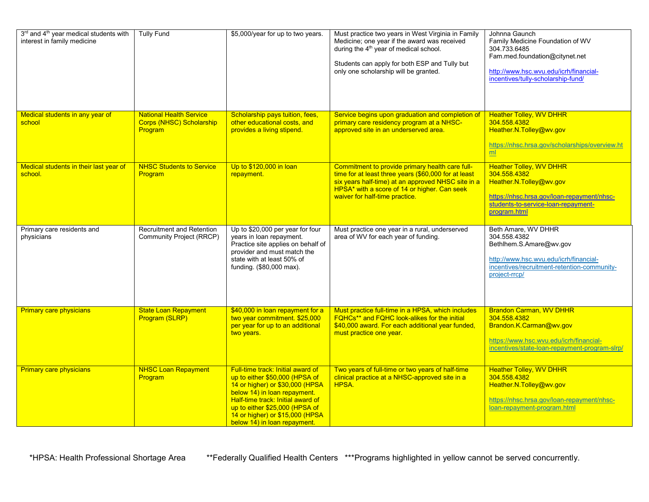| 3rd and 4 <sup>th</sup> year medical students with<br>interest in family medicine | <b>Tully Fund</b>                                                            | \$5,000/year for up to two years.                                                                                                                                                                                                                                                | Must practice two years in West Virginia in Family<br>Medicine; one year if the award was received<br>during the 4 <sup>th</sup> year of medical school.<br>Students can apply for both ESP and Tully but<br>only one scholarship will be granted. | Johnna Gaunch<br>Family Medicine Foundation of WV<br>304.733.6485<br>Fam.med.foundation@citynet.net<br>http://www.hsc.wvu.edu/icrh/financial-<br>incentives/tully-scholarship-fund/ |
|-----------------------------------------------------------------------------------|------------------------------------------------------------------------------|----------------------------------------------------------------------------------------------------------------------------------------------------------------------------------------------------------------------------------------------------------------------------------|----------------------------------------------------------------------------------------------------------------------------------------------------------------------------------------------------------------------------------------------------|-------------------------------------------------------------------------------------------------------------------------------------------------------------------------------------|
| Medical students in any year of<br>school                                         | <b>National Health Service</b><br><b>Corps (NHSC) Scholarship</b><br>Program | Scholarship pays tuition, fees,<br>other educational costs, and<br>provides a living stipend.                                                                                                                                                                                    | Service begins upon graduation and completion of<br>primary care residency program at a NHSC-<br>approved site in an underserved area.                                                                                                             | <b>Heather Tolley, WV DHHR</b><br>304.558.4382<br>Heather.N.Tolley@wv.gov<br>https://nhsc.hrsa.gov/scholarships/overview.ht<br>ml                                                   |
| Medical students in their last year of<br>school.                                 | <b>NHSC Students to Service</b><br>Program                                   | Up to \$120,000 in loan<br>repayment.                                                                                                                                                                                                                                            | Commitment to provide primary health care full-<br>time for at least three years (\$60,000 for at least<br>six years half-time) at an approved NHSC site in a<br>HPSA* with a score of 14 or higher. Can seek<br>waiver for half-time practice.    | <b>Heather Tolley, WV DHHR</b><br>304.558.4382<br>Heather.N.Tolley@wv.gov<br>https://nhsc.hrsa.gov/loan-repayment/nhsc-<br>students-to-service-loan-repayment-<br>program.html      |
| Primary care residents and<br>physicians                                          | <b>Recruitment and Retention</b><br>Community Project (RRCP)                 | Up to \$20,000 per year for four<br>years in loan repayment.<br>Practice site applies on behalf of<br>provider and must match the<br>state with at least 50% of<br>funding. (\$80,000 max).                                                                                      | Must practice one year in a rural, underserved<br>area of WV for each year of funding.                                                                                                                                                             | Beth Amare, WV DHHR<br>304.558.4382<br>Bethlhem.S.Amare@wv.gov<br>http://www.hsc.wvu.edu/icrh/financial-<br>incentives/recruitment-retention-community-<br>project-rrcp/            |
| <b>Primary care physicians</b>                                                    | <b>State Loan Repayment</b><br>Program (SLRP)                                | \$40,000 in loan repayment for a<br>two year commitment. \$25,000<br>per year for up to an additional<br>two years.                                                                                                                                                              | Must practice full-time in a HPSA, which includes<br>FQHCs** and FQHC look-alikes for the initial<br>\$40,000 award. For each additional year funded,<br>must practice one year.                                                                   | <b>Brandon Carman, WV DHHR</b><br>304.558.4382<br>Brandon.K.Carman@wv.gov<br>https://www.hsc.wvu.edu/icrh/financial-<br>incentives/state-loan-repayment-program-slrp/               |
| <b>Primary care physicians</b>                                                    | <b>NHSC Loan Repayment</b><br>Program                                        | Full-time track: Initial award of<br>up to either \$50,000 (HPSA of<br>14 or higher) or \$30,000 (HPSA<br>below 14) in loan repayment.<br>Half-time track: Initial award of<br>up to either \$25,000 (HPSA of<br>14 or higher) or \$15,000 (HPSA<br>below 14) in loan repayment. | Two years of full-time or two years of half-time<br>clinical practice at a NHSC-approved site in a<br>HPSA.                                                                                                                                        | <b>Heather Tolley, WV DHHR</b><br>304.558.4382<br>Heather.N.Tolley@wv.gov<br>https://nhsc.hrsa.gov/loan-repayment/nhsc-<br>loan-repayment-program.html                              |